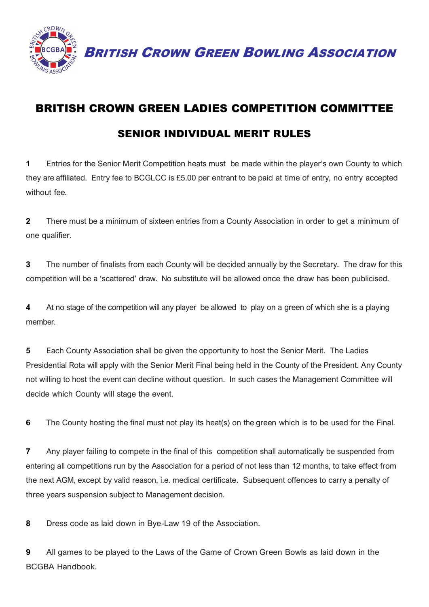

BRITISH CROWN GREEN BOWLING ASSOCIATION

## BRITISH CROWN GREEN LADIES COMPETITION COMMITTEE SENIOR INDIVIDUAL MERIT RULES

**1** Entries for the Senior Merit Competition heats must be made within the player's own County to which they are affiliated. Entry fee to BCGLCC is £5.00 per entrant to be paid at time of entry, no entry accepted without fee.

**2** There must be a minimum of sixteen entries from a County Association in order to get a minimum of one qualifier.

**3** The number of finalists from each County will be decided annually by the Secretary. The draw for this competition will be a 'scattered' draw. No substitute will be allowed once the draw has been publicised.

**4** At no stage of the competition will any player be allowed to play on a green of which she is a playing member.

**5** Each County Association shall be given the opportunity to host the Senior Merit. The Ladies Presidential Rota will apply with the Senior Merit Final being held in the County of the President. Any County not willing to host the event can decline without question. In such cases the Management Committee will decide which County will stage the event.

**6** The County hosting the final must not play its heat(s) on the green which is to be used for the Final.

**7** Any player failing to compete in the final of this competition shall automatically be suspended from entering all competitions run by the Association for a period of not less than 12 months, to take effect from the next AGM, except by valid reason, i.e. medical certificate. Subsequent offences to carry a penalty of three years suspension subject to Management decision.

**8** Dress code as laid down in Bye-Law 19 of the Association.

**9** All games to be played to the Laws of the Game of Crown Green Bowls as laid down in the BCGBA Handbook.